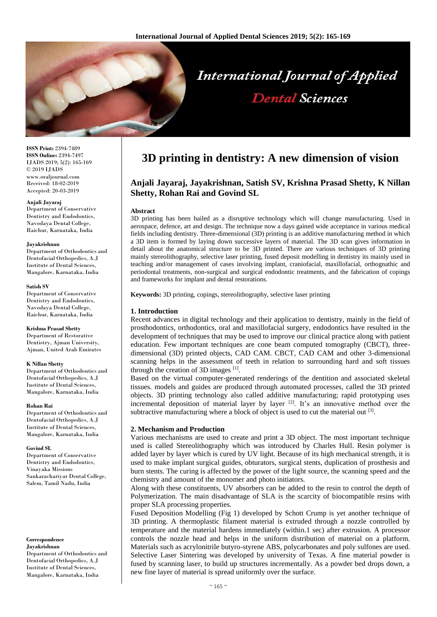

**ISSN Print:** 2394-7489 **ISSN Online:** 2394-7497 IJADS 2019; 5(2): 165-169 © 2019 IJADS www.oraljournal.com Received: 18-02-2019 Accepted: 20-03-2019

#### **Anjali Jayaraj**

Department of Conservative Dentistry and Endodontics, Navodaya Dental College, Raichur, Karnataka, India

#### **Jayakrishnan**

Department of Orthodontics and Dentofacial Orthopedics, A.J Institute of Dental Sciences, Mangalore, Karnataka, India

#### **Satish SV**

Department of Conservative Dentistry and Endodontics, Navodaya Dental College, Raichur, Karnataka, India

#### **Krishna Prasad Shetty**

Department of Restorative Dentistry, Ajman University, Ajman, United Arab Emirates

#### **K Nillan Shetty**

Department of Orthodontics and Dentofacial Orthopedics, A.J Institute of Dental Sciences, Mangalore, Karnataka, India

#### **Rohan Rai**

Department of Orthodontics and Dentofacial Orthopedics, A.J Institute of Dental Sciences, Mangalore, Karnataka, India

#### **Govind SL**

Department of Conservative Dentistry and Endodontics, Vinayaka Missions Sankarachariyar Dental College, Salem, Tamil Nadu, India

#### **Correspondence**

**Jayakrishnan** Department of Orthodontics and Dentofacial Orthopedics, A.J Institute of Dental Sciences, Mangalore, Karnataka, India

# **3D printing in dentistry: A new dimension of vision**

## **Anjali Jayaraj, Jayakrishnan, Satish SV, Krishna Prasad Shetty, K Nillan Shetty, Rohan Rai and Govind SL**

#### **Abstract**

3D printing has been hailed as a disruptive technology which will change manufacturing. Used in aerospace, defence, art and design. The technique now a days gained wide acceptance in various medical fields including dentistry. Three-dimensional (3D) printing is an additive manufacturing method in which a 3D item is formed by laying down successive layers of material. The 3D scan gives information in detail about the anatomical structure to be 3D printed. There are various techniques of 3D printing mainly stereolithography, selective laser printing, fused deposit modelling in dentistry its mainly used in teaching and/or management of cases involving implant, craniofacial, maxillofacial, orthognathic and periodontal treatments, non-surgical and surgical endodontic treatments, and the fabrication of copings and frameworks for implant and dental restorations.

**Keywords:** 3D printing, copings, stereolithography, selective laser printing

## **1. Introduction**

Recent advances in digital technology and their application to dentistry, mainly in the field of prosthodontics, orthodontics, oral and maxillofacial surgery, endodontics have resulted in the development of techniques that may be used to improve our clinical practice along with patient education. Few important techniques are cone beam computed tomography (CBCT), threedimensional (3D) printed objects, CAD CAM. CBCT, CAD CAM and other 3-dimensional scanning helps in the assessment of teeth in relation to surrounding hard and soft tissues through the creation of  $3D$  images  $^{[1]}$ .

Based on the virtual computer-generated renderings of the dentition and associated skeletal tissues. models and guides are produced through automated processes, called the 3D printed objects. 3D printing technology also called additive manufacturing; rapid prototyping uses incremental deposition of material layer by layer <sup>[2]</sup>. It's an innovative method over the subtractive manufacturing where a block of object is used to cut the material out  $[3]$ .

## **2. Mechanism and Production**

Various mechanisms are used to create and print a 3D object. The most important technique used is called Stereolithography which was introduced by Charles Hull. Resin polymer is added layer by layer which is cured by UV light. Because of its high mechanical strength, it is used to make implant surgical guides, obturators, surgical stents, duplication of prosthesis and burn stents. The curing is affected by the power of the light source, the scanning speed and the chemistry and amount of the monomer and photo initiators.

Along with these constituents, UV absorbers can be added to the resin to control the depth of Polymerization. The main disadvantage of SLA is the scarcity of biocompatible resins with proper SLA processing properties.

Fused Deposition Modelling (Fig 1) developed by Schott Crump is yet another technique of 3D printing. A thermoplastic filament material is extruded through a nozzle controlled by temperature and the material hardens immediately (within.1 sec) after extrusion. A processor controls the nozzle head and helps in the uniform distribution of material on a platform. Materials such as acrylonitrile butyro-styrene ABS, polycarbonates and poly sulfones are used. Selective Laser Sintering was developed by university of Texas. A fine material powder is fused by scanning laser, to build up structures incrementally. As a powder bed drops down, a new fine layer of material is spread uniformly over the surface.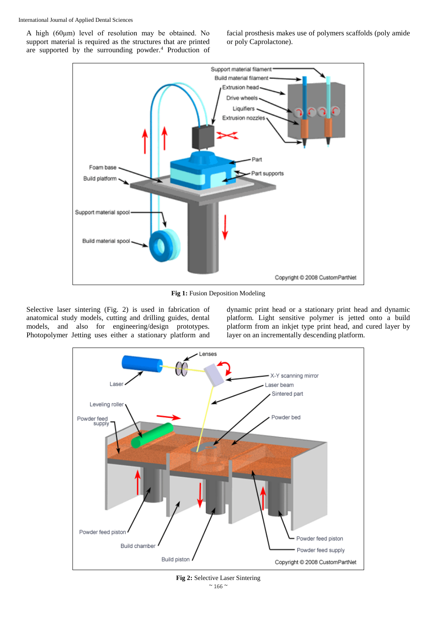A high (60μm) level of resolution may be obtained. No support material is required as the structures that are printed are supported by the surrounding powder.<sup>4</sup> Production of facial prosthesis makes use of polymers scaffolds (poly amide or poly Caprolactone).



**Fig 1:** Fusion Deposition Modeling

Selective laser sintering (Fig. 2) is used in fabrication of anatomical study models, cutting and drilling guides, dental models, and also for engineering/design prototypes. Photopolymer Jetting uses either a stationary platform and dynamic print head or a stationary print head and dynamic platform. Light sensitive polymer is jetted onto a build platform from an inkjet type print head, and cured layer by layer on an incrementally descending platform.



 $\sim$  166  $\sim$ **Fig 2:** Selective Laser Sintering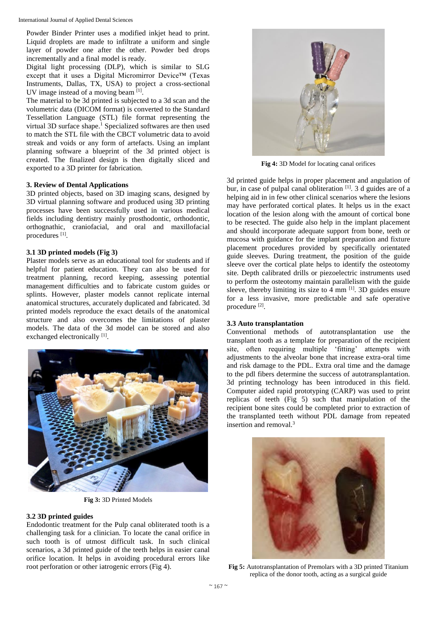Powder Binder Printer uses a modified inkjet head to print. Liquid droplets are made to infiltrate a uniform and single layer of powder one after the other. Powder bed drops incrementally and a final model is ready.

Digital light processing (DLP), which is similar to SLG except that it uses a Digital Micromirror Device™ (Texas Instruments, Dallas, TX, USA) to project a cross-sectional UV image instead of a moving beam [1].

The material to be 3d printed is subjected to a 3d scan and the volumetric data (DICOM format) is converted to the Standard Tessellation Language (STL) file format representing the virtual 3D surface shape.<sup>1</sup> Specialized softwares are then used to match the STL file with the CBCT volumetric data to avoid streak and voids or any form of artefacts. Using an implant planning software a blueprint of the 3d printed object is created. The finalized design is then digitally sliced and exported to a 3D printer for fabrication.

## **3. Review of Dental Applications**

3D printed objects, based on 3D imaging scans, designed by 3D virtual planning software and produced using 3D printing processes have been successfully used in various medical fields including dentistry mainly prosthodontic, orthodontic, orthognathic, craniofacial, and oral and maxillofacial procedures<sup>[1]</sup>.

## **3.1 3D printed models (Fig 3)**

Plaster models serve as an educational tool for students and if helpful for patient education. They can also be used for treatment planning, record keeping, assessing potential management difficulties and to fabricate custom guides or splints. However, plaster models cannot replicate internal anatomical structures, accurately duplicated and fabricated. 3d printed models reproduce the exact details of the anatomical structure and also overcomes the limitations of plaster models. The data of the 3d model can be stored and also exchanged electronically [1].



**Fig 3:** 3D Printed Models

## **3.2 3D printed guides**

Endodontic treatment for the Pulp canal obliterated tooth is a challenging task for a clinician. To locate the canal orifice in such tooth is of utmost difficult task. In such clinical scenarios, a 3d printed guide of the teeth helps in easier canal orifice location. It helps in avoiding procedural errors like root perforation or other iatrogenic errors (Fig 4).



**Fig 4:** 3D Model for locating canal orifices

3d printed guide helps in proper placement and angulation of bur, in case of pulpal canal obliteration <sup>[1]</sup>. 3 d guides are of a helping aid in in few other clinical scenarios where the lesions may have perforated cortical plates. It helps us in the exact location of the lesion along with the amount of cortical bone to be resected. The guide also help in the implant placement and should incorporate adequate support from bone, teeth or mucosa with guidance for the implant preparation and fixture placement procedures provided by specifically orientated guide sleeves. During treatment, the position of the guide sleeve over the cortical plate helps to identify the osteotomy site. Depth calibrated drills or piezoelectric instruments used to perform the osteotomy maintain parallelism with the guide sleeve, thereby limiting its size to  $\overline{4}$  mm  $^{[1]}$ . 3D guides ensure for a less invasive, more predictable and safe operative procedure [2].

## **3.3 Auto transplantation**

Conventional methods of autotransplantation use the transplant tooth as a template for preparation of the recipient site, often requiring multiple 'fitting' attempts with adjustments to the alveolar bone that increase extra-oral time and risk damage to the PDL. Extra oral time and the damage to the pdl fibers determine the success of autotransplantation. 3d printing technology has been introduced in this field. Computer aided rapid prototyping (CARP) was used to print replicas of teeth (Fig 5) such that manipulation of the recipient bone sites could be completed prior to extraction of the transplanted teeth without PDL damage from repeated insertion and removal.<sup>3</sup>



**Fig 5:** Autotransplantation of Premolars with a 3D printed Titanium replica of the donor tooth, acting as a surgical guide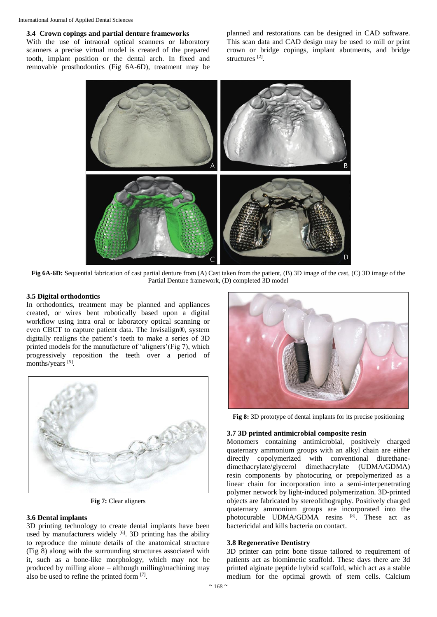#### International Journal of Applied Dental Sciences

#### **3.4 Crown copings and partial denture frameworks**

With the use of intraoral optical scanners or laboratory scanners a precise virtual model is created of the prepared tooth, implant position or the dental arch. In fixed and removable prosthodontics (Fig 6A-6D), treatment may be planned and restorations can be designed in CAD software. This scan data and CAD design may be used to mill or print crown or bridge copings, implant abutments, and bridge structures<sup>[2]</sup>.



**Fig 6A-6D:** Sequential fabrication of cast partial denture from (A) Cast taken from the patient, (B) 3D image of the cast, (C) 3D image of the Partial Denture framework, (D) completed 3D model

## **3.5 Digital orthodontics**

In orthodontics, treatment may be planned and appliances created, or wires bent robotically based upon a digital workflow using intra oral or laboratory optical scanning or even CBCT to capture patient data. The Invisalign®, system digitally realigns the patient's teeth to make a series of 3D printed models for the manufacture of 'aligners'(Fig 7), which progressively reposition the teeth over a period of months/years [5].



**Fig 7:** Clear aligners

## **3.6 Dental implants**

3D printing technology to create dental implants have been used by manufacturers widely <sup>[6]</sup>. 3D printing has the ability to reproduce the minute details of the anatomical structure (Fig 8) along with the surrounding structures associated with it, such as a bone-like morphology, which may not be produced by milling alone – although milling/machining may also be used to refine the printed form [7].



**Fig 8:** 3D prototype of dental implants for its precise positioning

#### **3.7 3D printed antimicrobial composite resin**

Monomers containing antimicrobial, positively charged quaternary ammonium groups with an alkyl chain are either directly copolymerized with conventional diurethanedimethacrylate/glycerol dimethacrylate (UDMA/GDMA) resin components by photocuring or prepolymerized as a linear chain for incorporation into a semi-interpenetrating polymer network by light-induced polymerization. 3D-printed objects are fabricated by stereolithography. Positively charged quaternary ammonium groups are incorporated into the photocurable UDMA/GDMA resins  $[8]$ . These act as bactericidal and kills bacteria on contact.

## **3.8 Regenerative Dentistry**

3D printer can print bone tissue tailored to requirement of patients act as biomimetic scaffold. These days there are 3d printed alginate peptide hybrid scaffold, which act as a stable medium for the optimal growth of stem cells. Calcium